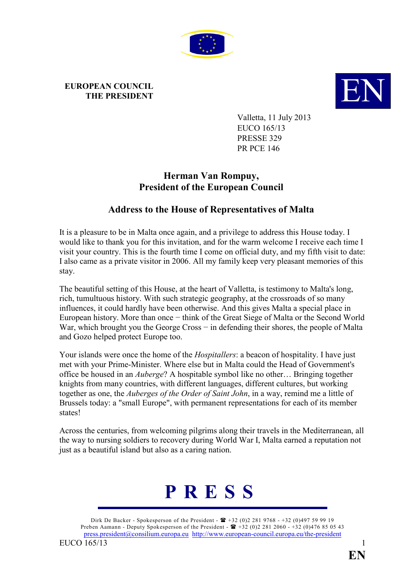

## **EUROPEAN COUNCIL**



Valletta, 11 July 2013 EUCO 165/13 PRESSE 329 PR PCE 146

## **Herman Van Rompuy, President of the European Council**

## **Address to the House of Representatives of Malta**

It is a pleasure to be in Malta once again, and a privilege to address this House today. I would like to thank you for this invitation, and for the warm welcome I receive each time I visit your country. This is the fourth time I come on official duty, and my fifth visit to date: I also came as a private visitor in 2006. All my family keep very pleasant memories of this stay.

The beautiful setting of this House, at the heart of Valletta, is testimony to Malta's long, rich, tumultuous history. With such strategic geography, at the crossroads of so many influences, it could hardly have been otherwise. And this gives Malta a special place in European history. More than once − think of the Great Siege of Malta or the Second World War, which brought you the George Cross – in defending their shores, the people of Malta and Gozo helped protect Europe too.

Your islands were once the home of the *Hospitallers*: a beacon of hospitality. I have just met with your Prime-Minister. Where else but in Malta could the Head of Government's office be housed in an *Auberge*? A hospitable symbol like no other… Bringing together knights from many countries, with different languages, different cultures, but working together as one, the *Auberges of the Order of Saint John*, in a way, remind me a little of Brussels today: a "small Europe", with permanent representations for each of its member states!

Across the centuries, from welcoming pilgrims along their travels in the Mediterranean, all the way to nursing soldiers to recovery during World War I, Malta earned a reputation not just as a beautiful island but also as a caring nation.

## **P R E S S**

Dirk De Backer - Spokesperson of the President -  $\mathbf{B}$  +32 (0)2 281 9768 - +32 (0)497 59 99 19 Preben Aamann - Deputy Spokesperson of the President -  $\mathbf{R}$  +32 (0)2 281 2060 - +32 (0)476 85 05 43 [press.president@consilium.europa.eu](mailto:press.president@consilium.europa.eu) <http://www.european-council.europa.eu/the-president> EUCO 165/13 1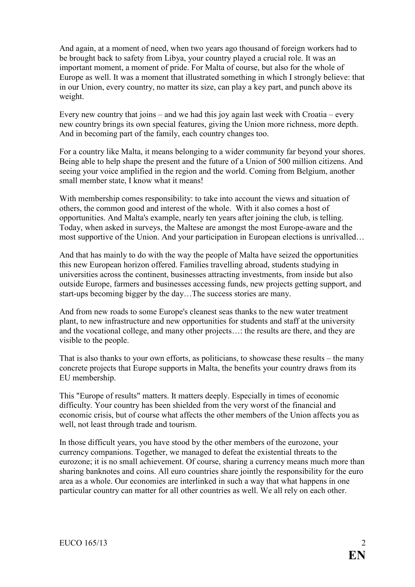And again, at a moment of need, when two years ago thousand of foreign workers had to be brought back to safety from Libya, your country played a crucial role. It was an important moment, a moment of pride. For Malta of course, but also for the whole of Europe as well. It was a moment that illustrated something in which I strongly believe: that in our Union, every country, no matter its size, can play a key part, and punch above its weight.

Every new country that joins – and we had this joy again last week with Croatia – every new country brings its own special features, giving the Union more richness, more depth. And in becoming part of the family, each country changes too.

For a country like Malta, it means belonging to a wider community far beyond your shores. Being able to help shape the present and the future of a Union of 500 million citizens. And seeing your voice amplified in the region and the world. Coming from Belgium, another small member state, I know what it means!

With membership comes responsibility: to take into account the views and situation of others, the common good and interest of the whole. With it also comes a host of opportunities. And Malta's example, nearly ten years after joining the club, is telling. Today, when asked in surveys, the Maltese are amongst the most Europe-aware and the most supportive of the Union. And your participation in European elections is unrivalled…

And that has mainly to do with the way the people of Malta have seized the opportunities this new European horizon offered. Families travelling abroad, students studying in universities across the continent, businesses attracting investments, from inside but also outside Europe, farmers and businesses accessing funds, new projects getting support, and start-ups becoming bigger by the day…The success stories are many.

And from new roads to some Europe's cleanest seas thanks to the new water treatment plant, to new infrastructure and new opportunities for students and staff at the university and the vocational college, and many other projects…: the results are there, and they are visible to the people.

That is also thanks to your own efforts, as politicians, to showcase these results – the many concrete projects that Europe supports in Malta, the benefits your country draws from its EU membership.

This "Europe of results" matters. It matters deeply. Especially in times of economic difficulty. Your country has been shielded from the very worst of the financial and economic crisis, but of course what affects the other members of the Union affects you as well, not least through trade and tourism.

In those difficult years, you have stood by the other members of the eurozone, your currency companions. Together, we managed to defeat the existential threats to the eurozone; it is no small achievement. Of course, sharing a currency means much more than sharing banknotes and coins. All euro countries share jointly the responsibility for the euro area as a whole. Our economies are interlinked in such a way that what happens in one particular country can matter for all other countries as well. We all rely on each other.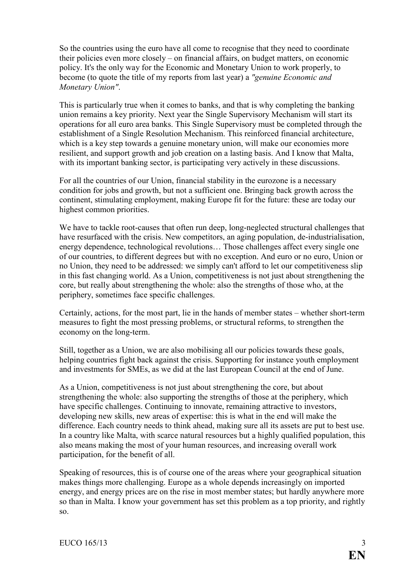So the countries using the euro have all come to recognise that they need to coordinate their policies even more closely – on financial affairs, on budget matters, on economic policy. It's the only way for the Economic and Monetary Union to work properly, to become (to quote the title of my reports from last year) a *"genuine Economic and Monetary Union"*.

This is particularly true when it comes to banks, and that is why completing the banking union remains a key priority. Next year the Single Supervisory Mechanism will start its operations for all euro area banks. This Single Supervisory must be completed through the establishment of a Single Resolution Mechanism. This reinforced financial architecture, which is a key step towards a genuine monetary union, will make our economies more resilient, and support growth and job creation on a lasting basis. And I know that Malta, with its important banking sector, is participating very actively in these discussions.

For all the countries of our Union, financial stability in the eurozone is a necessary condition for jobs and growth, but not a sufficient one. Bringing back growth across the continent, stimulating employment, making Europe fit for the future: these are today our highest common priorities.

We have to tackle root-causes that often run deep, long-neglected structural challenges that have resurfaced with the crisis. New competitors, an aging population, de-industrialisation, energy dependence, technological revolutions… Those challenges affect every single one of our countries, to different degrees but with no exception. And euro or no euro, Union or no Union, they need to be addressed: we simply can't afford to let our competitiveness slip in this fast changing world. As a Union, competitiveness is not just about strengthening the core, but really about strengthening the whole: also the strengths of those who, at the periphery, sometimes face specific challenges.

Certainly, actions, for the most part, lie in the hands of member states – whether short-term measures to fight the most pressing problems, or structural reforms, to strengthen the economy on the long-term.

Still, together as a Union, we are also mobilising all our policies towards these goals, helping countries fight back against the crisis. Supporting for instance youth employment and investments for SMEs, as we did at the last European Council at the end of June.

As a Union, competitiveness is not just about strengthening the core, but about strengthening the whole: also supporting the strengths of those at the periphery, which have specific challenges. Continuing to innovate, remaining attractive to investors, developing new skills, new areas of expertise: this is what in the end will make the difference. Each country needs to think ahead, making sure all its assets are put to best use. In a country like Malta, with scarce natural resources but a highly qualified population, this also means making the most of your human resources, and increasing overall work participation, for the benefit of all.

Speaking of resources, this is of course one of the areas where your geographical situation makes things more challenging. Europe as a whole depends increasingly on imported energy, and energy prices are on the rise in most member states; but hardly anywhere more so than in Malta. I know your government has set this problem as a top priority, and rightly so.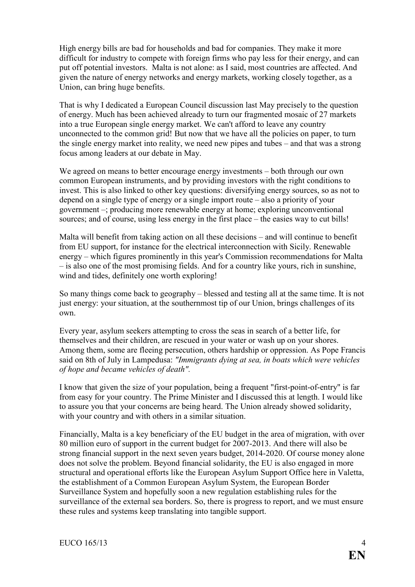High energy bills are bad for households and bad for companies. They make it more difficult for industry to compete with foreign firms who pay less for their energy, and can put off potential investors. Malta is not alone: as I said, most countries are affected. And given the nature of energy networks and energy markets, working closely together, as a Union, can bring huge benefits.

That is why I dedicated a European Council discussion last May precisely to the question of energy. Much has been achieved already to turn our fragmented mosaic of 27 markets into a true European single energy market. We can't afford to leave any country unconnected to the common grid! But now that we have all the policies on paper, to turn the single energy market into reality, we need new pipes and tubes – and that was a strong focus among leaders at our debate in May.

We agreed on means to better encourage energy investments – both through our own common European instruments, and by providing investors with the right conditions to invest. This is also linked to other key questions: diversifying energy sources, so as not to depend on a single type of energy or a single import route – also a priority of your government –; producing more renewable energy at home; exploring unconventional sources; and of course, using less energy in the first place – the easies way to cut bills!

Malta will benefit from taking action on all these decisions – and will continue to benefit from EU support, for instance for the electrical interconnection with Sicily. Renewable energy – which figures prominently in this year's Commission recommendations for Malta – is also one of the most promising fields. And for a country like yours, rich in sunshine, wind and tides, definitely one worth exploring!

So many things come back to geography – blessed and testing all at the same time. It is not just energy: your situation, at the southernmost tip of our Union, brings challenges of its own.

Every year, asylum seekers attempting to cross the seas in search of a better life, for themselves and their children, are rescued in your water or wash up on your shores. Among them, some are fleeing persecution, others hardship or oppression. As Pope Francis said on 8th of July in Lampedusa: *"Immigrants dying at sea, in boats which were vehicles of hope and became vehicles of death".*

I know that given the size of your population, being a frequent "first-point-of-entry" is far from easy for your country. The Prime Minister and I discussed this at length. I would like to assure you that your concerns are being heard. The Union already showed solidarity, with your country and with others in a similar situation.

Financially, Malta is a key beneficiary of the EU budget in the area of migration, with over 80 million euro of support in the current budget for 2007-2013. And there will also be strong financial support in the next seven years budget, 2014-2020. Of course money alone does not solve the problem. Beyond financial solidarity, the EU is also engaged in more structural and operational efforts like the European Asylum Support Office here in Valetta, the establishment of a Common European Asylum System, the European Border Surveillance System and hopefully soon a new regulation establishing rules for the surveillance of the external sea borders. So, there is progress to report, and we must ensure these rules and systems keep translating into tangible support.